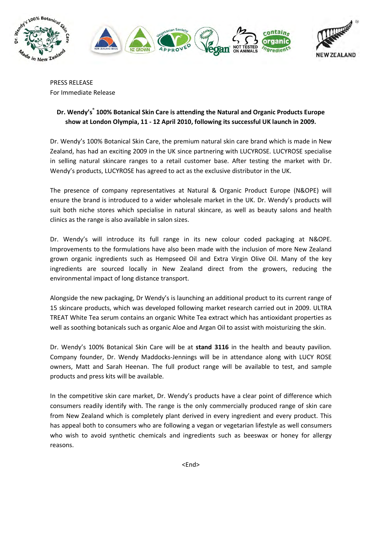

PRESS RELEASE For Immediate Release

## Dr. Wendy's<sup>®</sup> 100% Botanical Skin Care is attending the Natural and Organic Products Europe show at London Olympia, 11 - 12 April 2010, following its successful UK launch in 2009.

Dr. Wendy's 100% Botanical Skin Care, the premium natural skin care brand which is made in New Zealand, has had an exciting 2009 in the UK since partnering with LUCYROSE. LUCYROSE specialise in selling natural skincare ranges to a retail customer base. After testing the market with Dr. Wendy's products, LUCYROSE has agreed to act as the exclusive distributor in the UK.

The presence of company representatives at Natural & Organic Product Europe (N&OPE) will ensure the brand is introduced to a wider wholesale market in the UK. Dr. Wendy's products will suit both niche stores which specialise in natural skincare, as well as beauty salons and health clinics as the range is also available in salon sizes.

Dr. Wendy's will introduce its full range in its new colour coded packaging at N&OPE. Improvements to the formulations have also been made with the inclusion of more New Zealand grown organic ingredients such as Hempseed Oil and Extra Virgin Olive Oil. Many of the key ingredients are sourced locally in New Zealand direct from the growers, reducing the environmental impact of long distance transport.

Alongside the new packaging, Dr Wendy's is launching an additional product to its current range of 15 skincare products, which was developed following market research carried out in 2009. ULTRA TREAT White Tea serum contains an organic White Tea extract which has antioxidant properties as well as soothing botanicals such as organic Aloe and Argan Oil to assist with moisturizing the skin.

Dr. Wendy's 100% Botanical Skin Care will be at stand 3116 in the health and beauty pavilion. Company founder, Dr. Wendy Maddocks-Jennings will be in attendance along with LUCY ROSE owners, Matt and Sarah Heenan. The full product range will be available to test, and sample products and press kits will be available.

In the competitive skin care market, Dr. Wendy's products have a clear point of difference which consumers readily identify with. The range is the only commercially produced range of skin care from New Zealand which is completely plant derived in every ingredient and every product. This has appeal both to consumers who are following a vegan or vegetarian lifestyle as well consumers who wish to avoid synthetic chemicals and ingredients such as beeswax or honey for allergy reasons.